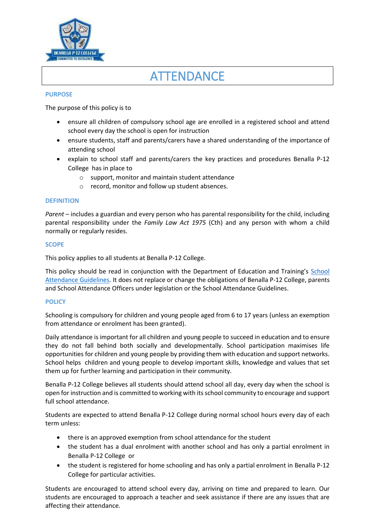

# **ATTENDANCE**

#### **PURPOSE**

The purpose of this policy is to

- ensure all children of compulsory school age are enrolled in a registered school and attend school every day the school is open for instruction
- ensure students, staff and parents/carers have a shared understanding of the importance of attending school
- explain to school staff and parents/carers the key practices and procedures Benalla P-12 College has in place to
	- o support, monitor and maintain student attendance
	- o record, monitor and follow up student absences.

#### **DEFINITION**

*Parent* – includes a guardian and every person who has parental responsibility for the child, including parental responsibility under the *Family Law Act 1975* (Cth) and any person with whom a child normally or regularly resides.

#### **SCOPE**

This policy applies to all students at Benalla P-12 College.

This policy should be read in conjunction with the Department of Education and Training's [School](https://www.education.vic.gov.au/school/teachers/studentmanagement/attendance/Pages/default.aspx)  [Attendance Guidelines.](https://www.education.vic.gov.au/school/teachers/studentmanagement/attendance/Pages/default.aspx) It does not replace or change the obligations of Benalla P-12 College, parents and School Attendance Officers under legislation or the School Attendance Guidelines.

#### **POLICY**

Schooling is compulsory for children and young people aged from 6 to 17 years (unless an exemption from attendance or enrolment has been granted).

Daily attendance is important for all children and young people to succeed in education and to ensure they do not fall behind both socially and developmentally. School participation maximises life opportunities for children and young people by providing them with education and support networks. School helps children and young people to develop important skills, knowledge and values that set them up for further learning and participation in their community.

Benalla P-12 College believes all students should attend school all day, every day when the school is open for instruction and is committed to working with its school community to encourage and support full school attendance.

Students are expected to attend Benalla P-12 College during normal school hours every day of each term unless:

- there is an approved exemption from school attendance for the student
- the student has a dual enrolment with another school and has only a partial enrolment in Benalla P-12 College or
- the student is registered for home schooling and has only a partial enrolment in Benalla P-12 College for particular activities.

Students are encouraged to attend school every day, arriving on time and prepared to learn. Our students are encouraged to approach a teacher and seek assistance if there are any issues that are affecting their attendance.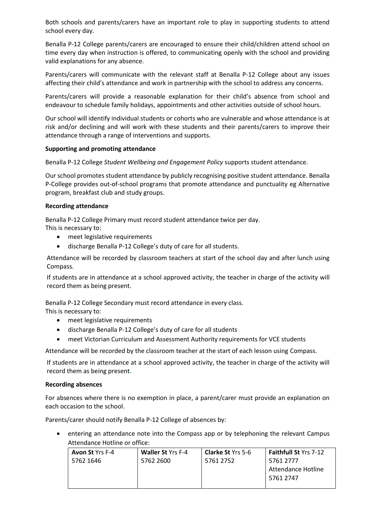Both schools and parents/carers have an important role to play in supporting students to attend school every day.

Benalla P-12 College parents/carers are encouraged to ensure their child/children attend school on time every day when instruction is offered, to communicating openly with the school and providing valid explanations for any absence.

Parents/carers will communicate with the relevant staff at Benalla P-12 College about any issues affecting their child's attendance and work in partnership with the school to address any concerns.

Parents/carers will provide a reasonable explanation for their child's absence from school and endeavour to schedule family holidays, appointments and other activities outside of school hours.

Our school will identify individual students or cohorts who are vulnerable and whose attendance is at risk and/or declining and will work with these students and their parents/carers to improve their attendance through a range of interventions and supports.

#### **Supporting and promoting attendance**

Benalla P-12 College *Student Wellbeing and Engagement Policy* supports student attendance.

Our school promotes student attendance by publicly recognising positive student attendance. Benalla P-College provides out-of-school programs that promote attendance and punctuality eg Alternative program, breakfast club and study groups.

## **Recording attendance**

Benalla P-12 College Primary must record student attendance twice per day.

This is necessary to:

- meet legislative requirements
- discharge Benalla P-12 College's duty of care for all students.

Attendance will be recorded by classroom teachers at start of the school day and after lunch using Compass.

If students are in attendance at a school approved activity, the teacher in charge of the activity will record them as being present.

Benalla P-12 College Secondary must record attendance in every class. This is necessary to:

- meet legislative requirements
- discharge Benalla P-12 College's duty of care for all students
- meet Victorian Curriculum and Assessment Authority requirements for VCE students

Attendance will be recorded by the classroom teacher at the start of each lesson using Compass.

If students are in attendance at a school approved activity, the teacher in charge of the activity will record them as being present**.**

#### **Recording absences**

For absences where there is no exemption in place, a parent/carer must provide an explanation on each occasion to the school.

Parents/carer should notify Benalla P-12 College of absences by:

• entering an attendance note into the Compass app or by telephoning the relevant Campus Attendance Hotline or office:

| <b>Avon St</b> Yrs F-4 | <b>Waller St Yrs F-4</b> | <b>Clarke St Yrs 5-6</b> | <b>Faithfull St Yrs 7-12</b> |
|------------------------|--------------------------|--------------------------|------------------------------|
| 5762 1646              | 5762 2600                | 5761 2752                | 5761 2777                    |
|                        |                          |                          | Attendance Hotline           |
|                        |                          |                          | 5761 2747                    |
|                        |                          |                          |                              |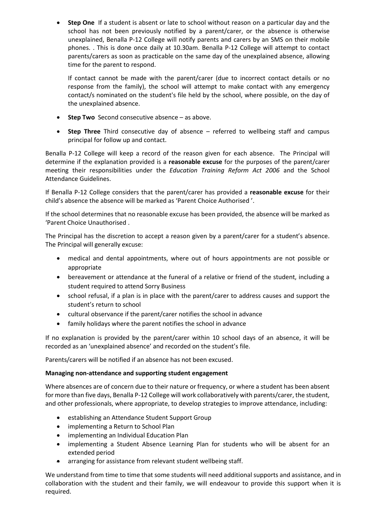**Step One** If a student is absent or late to school without reason on a particular day and the school has not been previously notified by a parent/carer, or the absence is otherwise unexplained, Benalla P-12 College will notify parents and carers by an SMS on their mobile phones. . This is done once daily at 10.30am. Benalla P-12 College will attempt to contact parents/carers as soon as practicable on the same day of the unexplained absence, allowing time for the parent to respond.

If contact cannot be made with the parent/carer (due to incorrect contact details or no response from the family), the school will attempt to make contact with any emergency contact/s nominated on the student's file held by the school, where possible, on the day of the unexplained absence.

- **Step Two** Second consecutive absence as above.
- **Step Three** Third consecutive day of absence referred to wellbeing staff and campus principal for follow up and contact.

Benalla P-12 College will keep a record of the reason given for each absence. The Principal will determine if the explanation provided is a **reasonable excuse** for the purposes of the parent/carer meeting their responsibilities under the *Education Training Reform Act 2006* and the School Attendance Guidelines.

If Benalla P-12 College considers that the parent/carer has provided a **reasonable excuse** for their child's absence the absence will be marked as 'Parent Choice Authorised '.

If the school determines that no reasonable excuse has been provided, the absence will be marked as 'Parent Choice Unauthorised .

The Principal has the discretion to accept a reason given by a parent/carer for a student's absence. The Principal will generally excuse:

- medical and dental appointments, where out of hours appointments are not possible or appropriate
- bereavement or attendance at the funeral of a relative or friend of the student, including a student required to attend Sorry Business
- school refusal, if a plan is in place with the parent/carer to address causes and support the student's return to school
- cultural observance if the parent/carer notifies the school in advance
- family holidays where the parent notifies the school in advance

If no explanation is provided by the parent/carer within 10 school days of an absence, it will be recorded as an 'unexplained absence' and recorded on the student's file.

Parents/carers will be notified if an absence has not been excused.

## **Managing non-attendance and supporting student engagement**

Where absences are of concern due to their nature or frequency, or where a student has been absent for more than five days, Benalla P-12 College will work collaboratively with parents/carer, the student, and other professionals, where appropriate, to develop strategies to improve attendance, including:

- establishing an Attendance Student Support Group
- implementing a Return to School Plan
- implementing an Individual Education Plan
- implementing a Student Absence Learning Plan for students who will be absent for an extended period
- arranging for assistance from relevant student wellbeing staff.

We understand from time to time that some students will need additional supports and assistance, and in collaboration with the student and their family, we will endeavour to provide this support when it is required.